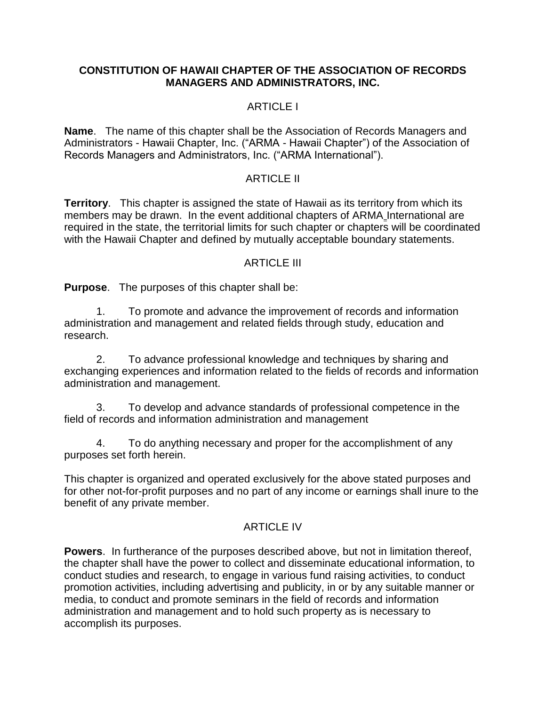### **CONSTITUTION OF HAWAII CHAPTER OF THE ASSOCIATION OF RECORDS MANAGERS AND ADMINISTRATORS, INC.**

# ARTICLE I

**Name**. The name of this chapter shall be the Association of Records Managers and Administrators - Hawaii Chapter, Inc. ("ARMA - Hawaii Chapter") of the Association of Records Managers and Administrators, Inc. ("ARMA International").

## ARTICLE II

**Territory**. This chapter is assigned the state of Hawaii as its territory from which its members may be drawn. In the event additional chapters of ARMA International are required in the state, the territorial limits for such chapter or chapters will be coordinated with the Hawaii Chapter and defined by mutually acceptable boundary statements.

## ARTICLE III

**Purpose**. The purposes of this chapter shall be:

1. To promote and advance the improvement of records and information administration and management and related fields through study, education and research.

2. To advance professional knowledge and techniques by sharing and exchanging experiences and information related to the fields of records and information administration and management.

3. To develop and advance standards of professional competence in the field of records and information administration and management

4. To do anything necessary and proper for the accomplishment of any purposes set forth herein.

This chapter is organized and operated exclusively for the above stated purposes and for other not-for-profit purposes and no part of any income or earnings shall inure to the benefit of any private member.

### ARTICLE IV

**Powers**. In furtherance of the purposes described above, but not in limitation thereof, the chapter shall have the power to collect and disseminate educational information, to conduct studies and research, to engage in various fund raising activities, to conduct promotion activities, including advertising and publicity, in or by any suitable manner or media, to conduct and promote seminars in the field of records and information administration and management and to hold such property as is necessary to accomplish its purposes.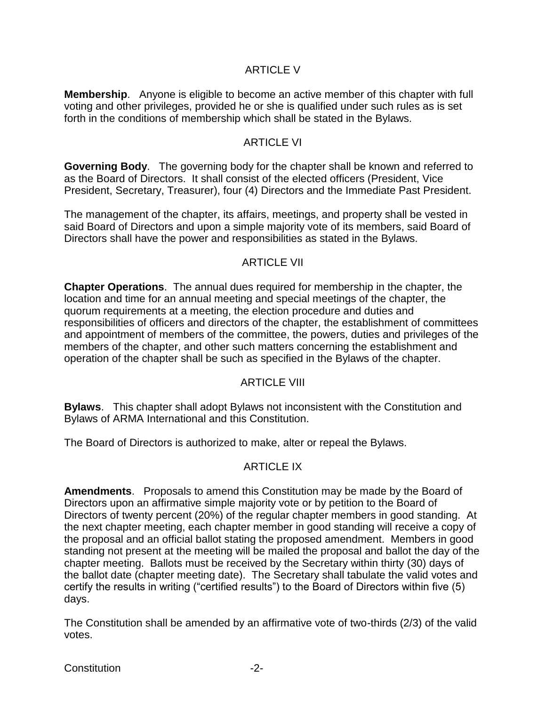## ARTICLE V

**Membership**. Anyone is eligible to become an active member of this chapter with full voting and other privileges, provided he or she is qualified under such rules as is set forth in the conditions of membership which shall be stated in the Bylaws.

## **ARTICLE VI**

**Governing Body**. The governing body for the chapter shall be known and referred to as the Board of Directors. It shall consist of the elected officers (President, Vice President, Secretary, Treasurer), four (4) Directors and the Immediate Past President.

The management of the chapter, its affairs, meetings, and property shall be vested in said Board of Directors and upon a simple majority vote of its members, said Board of Directors shall have the power and responsibilities as stated in the Bylaws.

### ARTICLE VII

**Chapter Operations**. The annual dues required for membership in the chapter, the location and time for an annual meeting and special meetings of the chapter, the quorum requirements at a meeting, the election procedure and duties and responsibilities of officers and directors of the chapter, the establishment of committees and appointment of members of the committee, the powers, duties and privileges of the members of the chapter, and other such matters concerning the establishment and operation of the chapter shall be such as specified in the Bylaws of the chapter.

### ARTICLE VIII

**Bylaws**. This chapter shall adopt Bylaws not inconsistent with the Constitution and Bylaws of ARMA International and this Constitution.

The Board of Directors is authorized to make, alter or repeal the Bylaws.

# ARTICLE IX

**Amendments**. Proposals to amend this Constitution may be made by the Board of Directors upon an affirmative simple majority vote or by petition to the Board of Directors of twenty percent (20%) of the regular chapter members in good standing. At the next chapter meeting, each chapter member in good standing will receive a copy of the proposal and an official ballot stating the proposed amendment. Members in good standing not present at the meeting will be mailed the proposal and ballot the day of the chapter meeting. Ballots must be received by the Secretary within thirty (30) days of the ballot date (chapter meeting date). The Secretary shall tabulate the valid votes and certify the results in writing ("certified results") to the Board of Directors within five (5) days.

The Constitution shall be amended by an affirmative vote of two-thirds (2/3) of the valid votes.

Constitution -2-